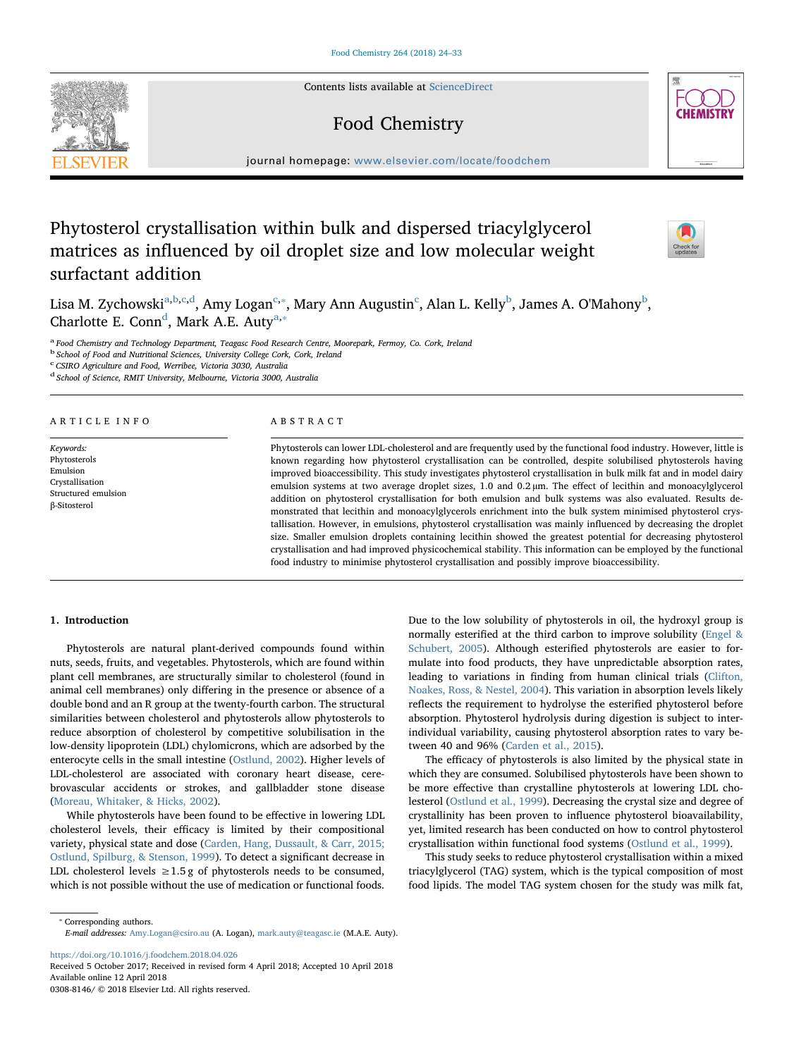Contents lists available at [ScienceDirect](http://www.sciencedirect.com/science/journal/03088146)

### Food Chemistry

journal homepage: [www.elsevier.com/locate/foodchem](https://www.elsevier.com/locate/foodchem)

## Phytosterol crystallisation within bulk and dispersed triacylglycerol matrices as influenced by oil droplet size and low molecular weight surfactant addition

Lis[a](#page-0-0) M. Zy[c](#page-0-2)howski $\rm ^{a,b,c,d},$  $\rm ^{a,b,c,d},$  $\rm ^{a,b,c,d},$  $\rm ^{a,b,c,d},$  $\rm ^{a,b,c,d},$  Amy Logan $\rm ^{c,*}$  $\rm ^{c,*}$  $\rm ^{c,*}$ , Mary Ann Augustin $\rm ^{c}$ , Alan L. Kelly $\rm ^{b}$ , James A. O'Mahony $\rm ^{b}$ , Charlotte E. Conn<sup>[d](#page-0-3)</sup>, M[a](#page-0-0)rk A.E. Auty<sup>a,\*</sup>

<span id="page-0-0"></span><sup>a</sup> Food Chemistry and Technology Department, Teagasc Food Research Centre, Moorepark, Fermoy, Co. Cork, Ireland

<span id="page-0-1"></span><sup>b</sup> School of Food and Nutritional Sciences, University College Cork, Cork, Ireland

<span id="page-0-2"></span>c CSIRO Agriculture and Food, Werribee, Victoria 3030, Australia

<span id="page-0-3"></span><sup>d</sup> School of Science, RMIT University, Melbourne, Victoria 3000, Australia

#### ARTICLE INFO

Keywords: Phytosterols Emulsion Crystallisation Structured emulsion β-Sitosterol

#### ABSTRACT

Phytosterols can lower LDL-cholesterol and are frequently used by the functional food industry. However, little is known regarding how phytosterol crystallisation can be controlled, despite solubilised phytosterols having improved bioaccessibility. This study investigates phytosterol crystallisation in bulk milk fat and in model dairy emulsion systems at two average droplet sizes, 1.0 and 0.2  $\mu$ m. The effect of lecithin and monoacylglycerol addition on phytosterol crystallisation for both emulsion and bulk systems was also evaluated. Results demonstrated that lecithin and monoacylglycerols enrichment into the bulk system minimised phytosterol crystallisation. However, in emulsions, phytosterol crystallisation was mainly influenced by decreasing the droplet size. Smaller emulsion droplets containing lecithin showed the greatest potential for decreasing phytosterol crystallisation and had improved physicochemical stability. This information can be employed by the functional food industry to minimise phytosterol crystallisation and possibly improve bioaccessibility.

#### 1. Introduction

Phytosterols are natural plant-derived compounds found within nuts, seeds, fruits, and vegetables. Phytosterols, which are found within plant cell membranes, are structurally similar to cholesterol (found in animal cell membranes) only differing in the presence or absence of a double bond and an R group at the twenty-fourth carbon. The structural similarities between cholesterol and phytosterols allow phytosterols to reduce absorption of cholesterol by competitive solubilisation in the low-density lipoprotein (LDL) chylomicrons, which are adsorbed by the enterocyte cells in the small intestine ([Ostlund, 2002](#page--1-0)). Higher levels of LDL-cholesterol are associated with coronary heart disease, cerebrovascular accidents or strokes, and gallbladder stone disease ([Moreau, Whitaker, & Hicks, 2002](#page--1-1)).

While phytosterols have been found to be effective in lowering LDL cholesterol levels, their efficacy is limited by their compositional variety, physical state and dose [\(Carden, Hang, Dussault, & Carr, 2015;](#page--1-2) [Ostlund, Spilburg, & Stenson, 1999](#page--1-2)). To detect a significant decrease in LDL cholesterol levels  $\geq$  1.5 g of phytosterols needs to be consumed, which is not possible without the use of medication or functional foods.

<span id="page-0-4"></span>⁎ Corresponding authors. E-mail addresses: [Amy.Logan@csiro.au](mailto:Amy.Logan@csiro.au) (A. Logan), [mark.auty@teagasc.ie](mailto:mark.auty@teagasc.ie) (M.A.E. Auty).

<https://doi.org/10.1016/j.foodchem.2018.04.026>

Received 5 October 2017; Received in revised form 4 April 2018; Accepted 10 April 2018 Available online 12 April 2018

0308-8146/ © 2018 Elsevier Ltd. All rights reserved.

Due to the low solubility of phytosterols in oil, the hydroxyl group is normally esterified at the third carbon to improve solubility [\(Engel &](#page--1-3) [Schubert, 2005](#page--1-3)). Although esterified phytosterols are easier to formulate into food products, they have unpredictable absorption rates, leading to variations in finding from human clinical trials [\(Clifton,](#page--1-4) [Noakes, Ross, & Nestel, 2004\)](#page--1-4). This variation in absorption levels likely reflects the requirement to hydrolyse the esterified phytosterol before absorption. Phytosterol hydrolysis during digestion is subject to interindividual variability, causing phytosterol absorption rates to vary between 40 and 96% [\(Carden et al., 2015\)](#page--1-2).

The efficacy of phytosterols is also limited by the physical state in which they are consumed. Solubilised phytosterols have been shown to be more effective than crystalline phytosterols at lowering LDL cholesterol ([Ostlund et al., 1999](#page--1-5)). Decreasing the crystal size and degree of crystallinity has been proven to influence phytosterol bioavailability, yet, limited research has been conducted on how to control phytosterol crystallisation within functional food systems ([Ostlund et al., 1999\)](#page--1-5).

This study seeks to reduce phytosterol crystallisation within a mixed triacylglycerol (TAG) system, which is the typical composition of most food lipids. The model TAG system chosen for the study was milk fat,



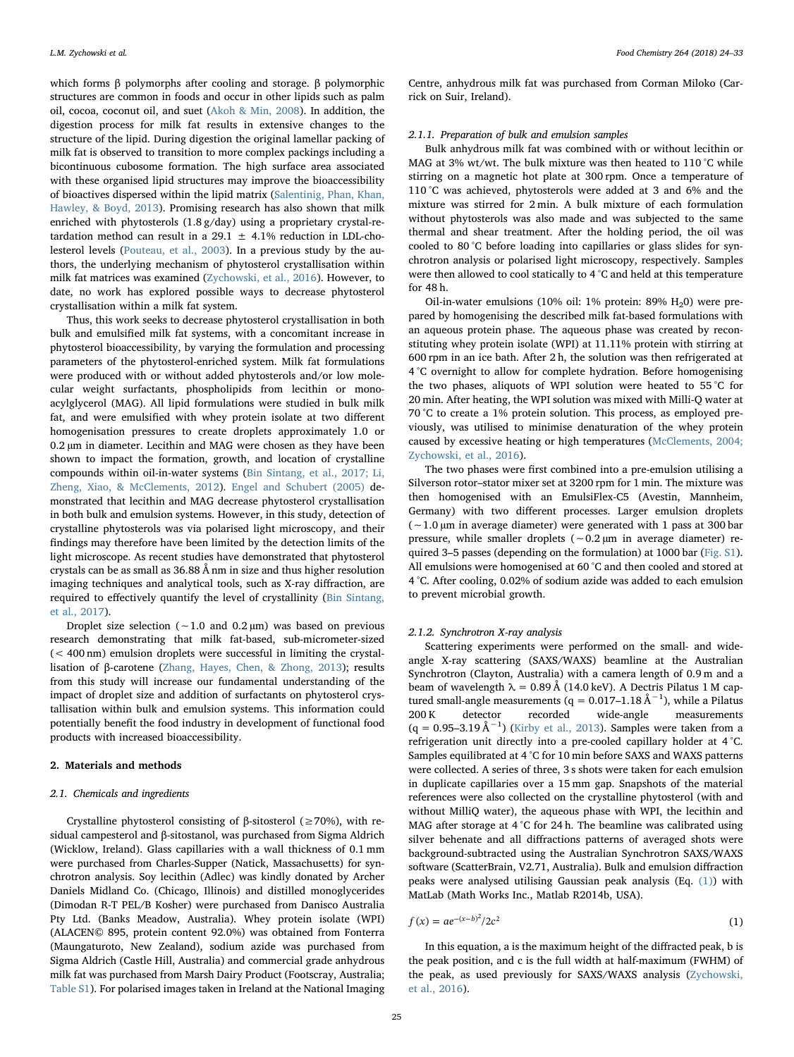which forms β polymorphs after cooling and storage. β polymorphic structures are common in foods and occur in other lipids such as palm oil, cocoa, coconut oil, and suet [\(Akoh & Min, 2008\)](#page--1-6). In addition, the digestion process for milk fat results in extensive changes to the structure of the lipid. During digestion the original lamellar packing of milk fat is observed to transition to more complex packings including a bicontinuous cubosome formation. The high surface area associated with these organised lipid structures may improve the bioaccessibility of bioactives dispersed within the lipid matrix [\(Salentinig, Phan, Khan,](#page--1-7) [Hawley, & Boyd, 2013](#page--1-7)). Promising research has also shown that milk enriched with phytosterols  $(1.8 \text{ g}/\text{day})$  using a proprietary crystal-retardation method can result in a 29.1  $\pm$  4.1% reduction in LDL-cholesterol levels ([Pouteau, et al., 2003](#page--1-8)). In a previous study by the authors, the underlying mechanism of phytosterol crystallisation within milk fat matrices was examined [\(Zychowski, et al., 2016\)](#page--1-9). However, to date, no work has explored possible ways to decrease phytosterol crystallisation within a milk fat system.

Thus, this work seeks to decrease phytosterol crystallisation in both bulk and emulsified milk fat systems, with a concomitant increase in phytosterol bioaccessibility, by varying the formulation and processing parameters of the phytosterol-enriched system. Milk fat formulations were produced with or without added phytosterols and/or low molecular weight surfactants, phospholipids from lecithin or monoacylglycerol (MAG). All lipid formulations were studied in bulk milk fat, and were emulsified with whey protein isolate at two different homogenisation pressures to create droplets approximately 1.0 or 0.2 µm in diameter. Lecithin and MAG were chosen as they have been shown to impact the formation, growth, and location of crystalline compounds within oil-in-water systems [\(Bin Sintang, et al., 2017; Li,](#page--1-10) [Zheng, Xiao, & McClements, 2012\)](#page--1-10). [Engel and Schubert \(2005\)](#page--1-3) demonstrated that lecithin and MAG decrease phytosterol crystallisation in both bulk and emulsion systems. However, in this study, detection of crystalline phytosterols was via polarised light microscopy, and their findings may therefore have been limited by the detection limits of the light microscope. As recent studies have demonstrated that phytosterol crystals can be as small as 36.88 Å nm in size and thus higher resolution imaging techniques and analytical tools, such as X-ray diffraction, are required to effectively quantify the level of crystallinity [\(Bin Sintang,](#page--1-10) [et al., 2017](#page--1-10)).

Droplet size selection ( $\sim$ 1.0 and 0.2 µm) was based on previous research demonstrating that milk fat-based, sub-micrometer-sized (< 400 nm) emulsion droplets were successful in limiting the crystallisation of β-carotene [\(Zhang, Hayes, Chen, & Zhong, 2013\)](#page--1-11); results from this study will increase our fundamental understanding of the impact of droplet size and addition of surfactants on phytosterol crystallisation within bulk and emulsion systems. This information could potentially benefit the food industry in development of functional food products with increased bioaccessibility.

#### 2. Materials and methods

#### 2.1. Chemicals and ingredients

Crystalline phytosterol consisting of β-sitosterol (≥70%), with residual campesterol and β-sitostanol, was purchased from Sigma Aldrich (Wicklow, Ireland). Glass capillaries with a wall thickness of 0.1 mm were purchased from Charles-Supper (Natick, Massachusetts) for synchrotron analysis. Soy lecithin (Adlec) was kindly donated by Archer Daniels Midland Co. (Chicago, Illinois) and distilled monoglycerides (Dimodan R-T PEL/B Kosher) were purchased from Danisco Australia Pty Ltd. (Banks Meadow, Australia). Whey protein isolate (WPI) (ALACEN© 895, protein content 92.0%) was obtained from Fonterra (Maungaturoto, New Zealand), sodium azide was purchased from Sigma Aldrich (Castle Hill, Australia) and commercial grade anhydrous milk fat was purchased from Marsh Dairy Product (Footscray, Australia; Table S1). For polarised images taken in Ireland at the National Imaging

Centre, anhydrous milk fat was purchased from Corman Miloko (Carrick on Suir, Ireland).

#### 2.1.1. Preparation of bulk and emulsion samples

Bulk anhydrous milk fat was combined with or without lecithin or MAG at 3% wt/wt. The bulk mixture was then heated to 110 °C while stirring on a magnetic hot plate at 300 rpm. Once a temperature of 110 °C was achieved, phytosterols were added at 3 and 6% and the mixture was stirred for 2 min. A bulk mixture of each formulation without phytosterols was also made and was subjected to the same thermal and shear treatment. After the holding period, the oil was cooled to 80 °C before loading into capillaries or glass slides for synchrotron analysis or polarised light microscopy, respectively. Samples were then allowed to cool statically to 4 °C and held at this temperature for 48 h.

Oil-in-water emulsions (10% oil:  $1\%$  protein: 89%  $H<sub>2</sub>0$ ) were prepared by homogenising the described milk fat-based formulations with an aqueous protein phase. The aqueous phase was created by reconstituting whey protein isolate (WPI) at 11.11% protein with stirring at 600 rpm in an ice bath. After 2 h, the solution was then refrigerated at 4 °C overnight to allow for complete hydration. Before homogenising the two phases, aliquots of WPI solution were heated to 55 °C for 20 min. After heating, the WPI solution was mixed with Milli-Q water at 70 °C to create a 1% protein solution. This process, as employed previously, was utilised to minimise denaturation of the whey protein caused by excessive heating or high temperatures [\(McClements, 2004;](#page--1-12) [Zychowski, et al., 2016\)](#page--1-12).

The two phases were first combined into a pre-emulsion utilising a Silverson rotor–stator mixer set at 3200 rpm for 1 min. The mixture was then homogenised with an EmulsiFlex-C5 (Avestin, Mannheim, Germany) with two different processes. Larger emulsion droplets (∼1.0 µm in average diameter) were generated with 1 pass at 300 bar pressure, while smaller droplets (∼0.2 µm in average diameter) required 3–5 passes (depending on the formulation) at 1000 bar (Fig. S1). All emulsions were homogenised at 60 °C and then cooled and stored at 4 °C. After cooling, 0.02% of sodium azide was added to each emulsion to prevent microbial growth.

#### 2.1.2. Synchrotron X-ray analysis

Scattering experiments were performed on the small- and wideangle X-ray scattering (SAXS/WAXS) beamline at the Australian Synchrotron (Clayton, Australia) with a camera length of 0.9 m and a beam of wavelength  $\lambda = 0.89 \text{ Å}$  (14.0 keV). A Dectris Pilatus 1 M captured small-angle measurements ( $q = 0.017 - 1.18 \text{ Å}^{-1}$ ), while a Pilatus 200 K detector recorded wide-angle measurements  $(q = 0.95-3.19 \text{ Å}^{-1})$  ([Kirby et al., 2013](#page--1-13)). Samples were taken from a refrigeration unit directly into a pre-cooled capillary holder at 4 °C. Samples equilibrated at 4 °C for 10 min before SAXS and WAXS patterns were collected. A series of three, 3 s shots were taken for each emulsion in duplicate capillaries over a 15 mm gap. Snapshots of the material references were also collected on the crystalline phytosterol (with and without MilliQ water), the aqueous phase with WPI, the lecithin and MAG after storage at 4 °C for 24 h. The beamline was calibrated using silver behenate and all diffractions patterns of averaged shots were background-subtracted using the Australian Synchrotron SAXS/WAXS software (ScatterBrain, V2.71, Australia). Bulk and emulsion diffraction peaks were analysed utilising Gaussian peak analysis (Eq. [\(1\)\)](#page-1-0) with MatLab (Math Works Inc., Matlab R2014b, USA).

<span id="page-1-0"></span>
$$
f(x) = a e^{-(x-b)^2/2c^2}
$$
 (1)

In this equation, a is the maximum height of the diffracted peak, b is the peak position, and c is the full width at half-maximum (FWHM) of the peak, as used previously for SAXS/WAXS analysis ([Zychowski,](#page--1-9) [et al., 2016](#page--1-9)).